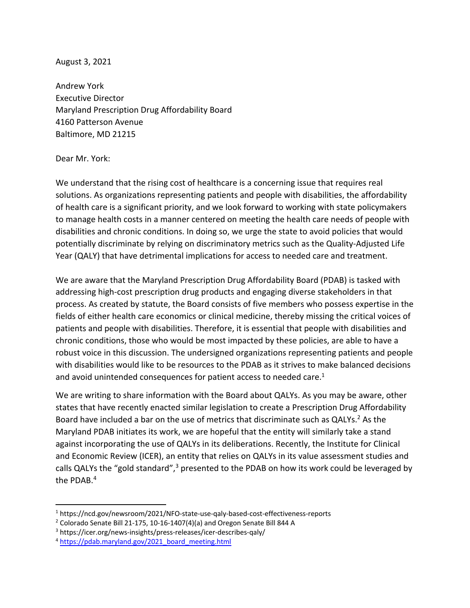August 3, 2021

Andrew York Executive Director Maryland Prescription Drug Affordability Board 4160 Patterson Avenue Baltimore, MD 21215

Dear Mr. York:

We understand that the rising cost of healthcare is a concerning issue that requires real solutions. As organizations representing patients and people with disabilities, the affordability of health care is a significant priority, and we look forward to working with state policymakers to manage health costs in a manner centered on meeting the health care needs of people with disabilities and chronic conditions. In doing so, we urge the state to avoid policies that would potentially discriminate by relying on discriminatory metrics such as the Quality-Adjusted Life Year (QALY) that have detrimental implications for access to needed care and treatment.

We are aware that the Maryland Prescription Drug Affordability Board (PDAB) is tasked with addressing high-cost prescription drug products and engaging diverse stakeholders in that process. As created by statute, the Board consists of five members who possess expertise in the fields of either health care economics or clinical medicine, thereby missing the critical voices of patients and people with disabilities. Therefore, it is essential that people with disabilities and chronic conditions, those who would be most impacted by these policies, are able to have a robust voice in this discussion. The undersigned organizations representing patients and people with disabilities would like to be resources to the PDAB as it strives to make balanced decisions and avoid unintended consequences for patient access to needed care.<sup>1</sup>

We are writing to share information with the Board about QALYs. As you may be aware, other states that have recently enacted similar legislation to create a Prescription Drug Affordability Board have included a bar on the use of metrics that discriminate such as QALYs.<sup>2</sup> As the Maryland PDAB initiates its work, we are hopeful that the entity will similarly take a stand against incorporating the use of QALYs in its deliberations. Recently, the Institute for Clinical and Economic Review (ICER), an entity that relies on QALYs in its value assessment studies and calls QALYs the "gold standard",<sup>3</sup> presented to the PDAB on how its work could be leveraged by the PDAB. 4

<sup>1</sup> https://ncd.gov/newsroom/2021/NFO-state-use-qaly-based-cost-effectiveness-reports

<sup>&</sup>lt;sup>2</sup> Colorado Senate Bill 21-175, 10-16-1407(4)(a) and Oregon Senate Bill 844 A  $^3$  https://icer.org/news-insights/press-releases/icer-describes-qaly/

<sup>4</sup> https://pdab.maryland.gov/2021\_board\_meeting.html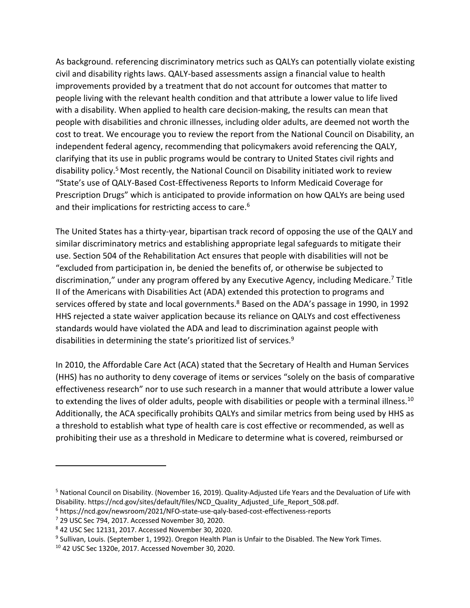As background. referencing discriminatory metrics such as QALYs can potentially violate existing civil and disability rights laws. QALY-based assessments assign a financial value to health improvements provided by a treatment that do not account for outcomes that matter to people living with the relevant health condition and that attribute a lower value to life lived with a disability. When applied to health care decision-making, the results can mean that people with disabilities and chronic illnesses, including older adults, are deemed not worth the cost to treat. We encourage you to review the report from the National Council on Disability, an independent federal agency, recommending that policymakers avoid referencing the QALY, clarifying that its use in public programs would be contrary to United States civil rights and disability policy.5 Most recently, the National Council on Disability initiated work to review "State's use of QALY-Based Cost-Effectiveness Reports to Inform Medicaid Coverage for Prescription Drugs" which is anticipated to provide information on how QALYs are being used and their implications for restricting access to care.<sup>6</sup>

The United States has a thirty-year, bipartisan track record of opposing the use of the QALY and similar discriminatory metrics and establishing appropriate legal safeguards to mitigate their use. Section 504 of the Rehabilitation Act ensures that people with disabilities will not be "excluded from participation in, be denied the benefits of, or otherwise be subjected to discrimination," under any program offered by any Executive Agency, including Medicare.<sup>7</sup> Title II of the Americans with Disabilities Act (ADA) extended this protection to programs and services offered by state and local governments.<sup>8</sup> Based on the ADA's passage in 1990, in 1992 HHS rejected a state waiver application because its reliance on QALYs and cost effectiveness standards would have violated the ADA and lead to discrimination against people with disabilities in determining the state's prioritized list of services.<sup>9</sup>

In 2010, the Affordable Care Act (ACA) stated that the Secretary of Health and Human Services (HHS) has no authority to deny coverage of items or services "solely on the basis of comparative effectiveness research" nor to use such research in a manner that would attribute a lower value to extending the lives of older adults, people with disabilities or people with a terminal illness.<sup>10</sup> Additionally, the ACA specifically prohibits QALYs and similar metrics from being used by HHS as a threshold to establish what type of health care is cost effective or recommended, as well as prohibiting their use as a threshold in Medicare to determine what is covered, reimbursed or

<sup>5</sup> National Council on Disability. (November 16, 2019). Quality-Adjusted Life Years and the Devaluation of Life with Disability. https://ncd.gov/sites/default/files/NCD\_Quality\_Adjusted\_Life\_Report\_508.pdf.

<sup>6</sup> https://ncd.gov/newsroom/2021/NFO-state-use-qaly-based-cost-effectiveness-reports

<sup>7</sup> 29 USC Sec 794, 2017. Accessed November 30, 2020.

<sup>8</sup> 42 USC Sec 12131, 2017. Accessed November 30, 2020.

<sup>&</sup>lt;sup>9</sup> Sullivan, Louis. (September 1, 1992). Oregon Health Plan is Unfair to the Disabled. The New York Times.

<sup>10</sup> 42 USC Sec 1320e, 2017. Accessed November 30, 2020.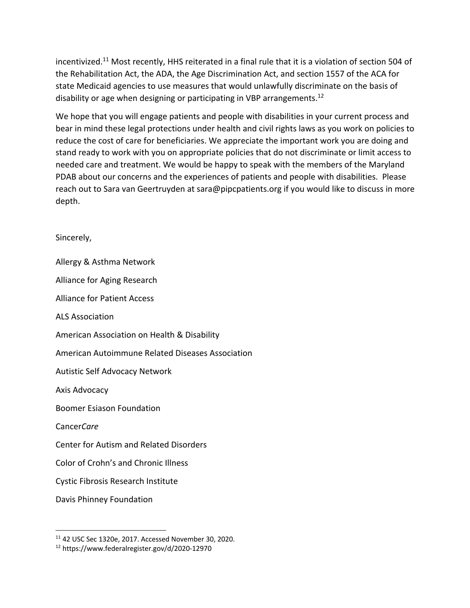incentivized.11 Most recently, HHS reiterated in a final rule that it is a violation of section 504 of the Rehabilitation Act, the ADA, the Age Discrimination Act, and section 1557 of the ACA for state Medicaid agencies to use measures that would unlawfully discriminate on the basis of disability or age when designing or participating in VBP arrangements.<sup>12</sup>

We hope that you will engage patients and people with disabilities in your current process and bear in mind these legal protections under health and civil rights laws as you work on policies to reduce the cost of care for beneficiaries. We appreciate the important work you are doing and stand ready to work with you on appropriate policies that do not discriminate or limit access to needed care and treatment. We would be happy to speak with the members of the Maryland PDAB about our concerns and the experiences of patients and people with disabilities. Please reach out to Sara van Geertruyden at sara@pipcpatients.org if you would like to discuss in more depth.

Sincerely,

Allergy & Asthma Network Alliance for Aging Research Alliance for Patient Access ALS Association American Association on Health & Disability American Autoimmune Related Diseases Association Autistic Self Advocacy Network Axis Advocacy Boomer Esiason Foundation Cancer*Care* Center for Autism and Related Disorders Color of Crohn's and Chronic Illness Cystic Fibrosis Research Institute Davis Phinney Foundation

<sup>11</sup> 42 USC Sec 1320e, 2017. Accessed November 30, 2020.

<sup>12</sup> https://www.federalregister.gov/d/2020-12970